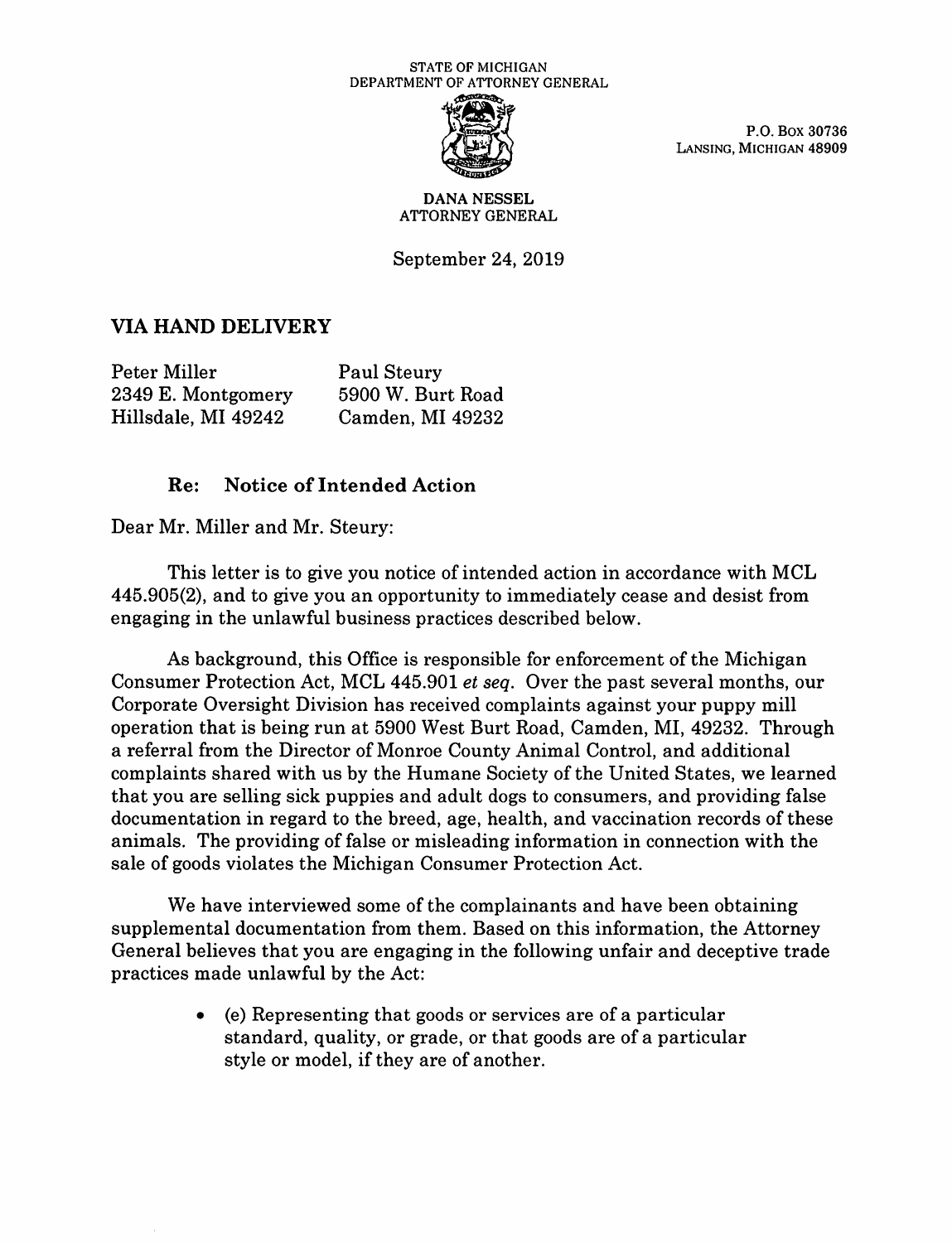## STATE OF MICHIGAN DEPARTMENT OF ATTORNEY GENERAL



P.O. Box 30736<br>LANSING, MICHIGAN 48909

## **DANA NESSEL**  ATTORNEY GENERAL

September 24, 2019

## **VIA HAND DELIVERY**

| Peter Miller        | <b>Paul Steury</b> |
|---------------------|--------------------|
| 2349 E. Montgomery  | 5900 W. Burt Road  |
| Hillsdale, MI 49242 | Camden, MI 49232   |

## **Re: Notice of Intended Action**

Dear Mr. Miller and Mr. Steury:

This letter is to give you notice of intended action in accordance with MCL 445.905(2), and to give you an opportunity to immediately cease and desist from engaging in the unlawful business practices described below.

As background, this Office is responsible for enforcement of the Michigan Consumer Protection Act, MCL 445.901 *et seq.* Over the past several months, our Corporate Oversight Division has received complaints against your puppy mill operation that is being run at 5900 West Burt Road, Camden, MI, 49232. Through a referral from the Director of Monroe County Animal Control, and additional complaints shared with us by the Humane Society of the United States, we learned that you are selling sick puppies and adult dogs to consumers, and providing false documentation in regard to the breed, age, health, and vaccination records of these animals. The providing of false or misleading information in connection **with** the sale of goods violates the Michigan Consumer Protection Act.

We have interviewed some of the complainants and have been obtaining supplemental documentation from them. Based on this information, the Attorney General believes that you are engaging in the following unfair and deceptive trade practices made unlawful by the Act:

> • (e) Representing that goods or services are of a particular standard, quality, or grade, or that goods are of a particular style or model, if they are of another.